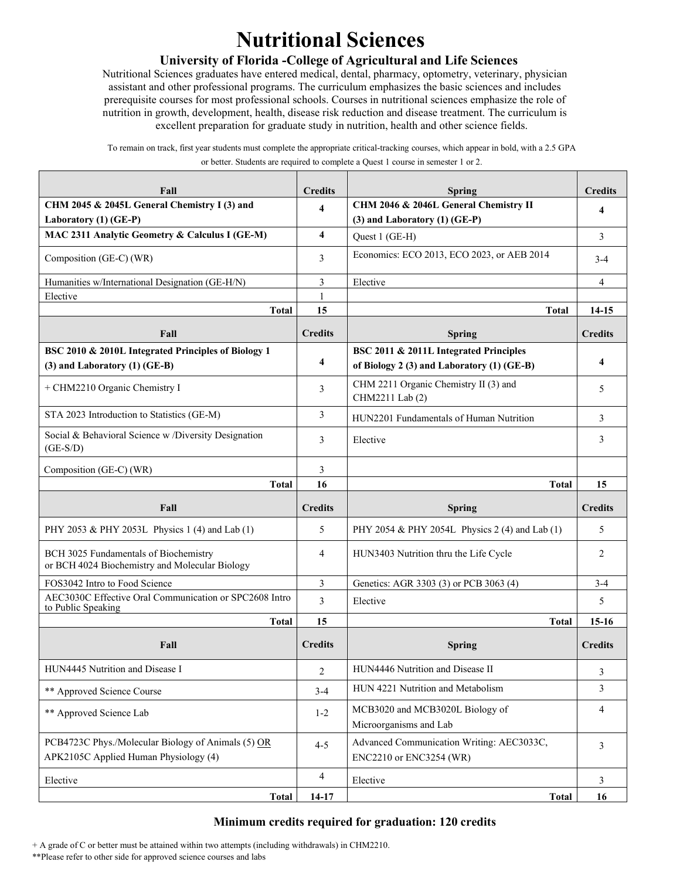## **Nutritional Sciences**

## **University of Florida -College of Agricultural and Life Sciences**

Nutritional Sciences graduates have entered medical, dental, pharmacy, optometry, veterinary, physician assistant and other professional programs. The curriculum emphasizes the basic sciences and includes prerequisite courses for most professional schools. Courses in nutritional sciences emphasize the role of nutrition in growth, development, health, disease risk reduction and disease treatment. The curriculum is excellent preparation for graduate study in nutrition, health and other science fields.

To remain on track, first year students must complete the appropriate critical-tracking courses, which appear in bold, with a 2.5 GPA or better. Students are required to complete a Quest 1 course in semester 1 or 2.

| Fall                                                                                        | <b>Credits</b>          | <b>Spring</b>                                                                        | <b>Credits</b>      |
|---------------------------------------------------------------------------------------------|-------------------------|--------------------------------------------------------------------------------------|---------------------|
| CHM 2045 & 2045L General Chemistry I (3) and<br>Laboratory (1) (GE-P)                       | 4                       | CHM 2046 & 2046L General Chemistry II<br>$(3)$ and Laboratory $(1)$ (GE-P)           | $\overline{\bf{4}}$ |
| MAC 2311 Analytic Geometry & Calculus I (GE-M)                                              | $\overline{\mathbf{4}}$ | Quest 1 (GE-H)                                                                       | 3                   |
| Composition (GE-C) (WR)                                                                     | 3                       | Economics: ECO 2013, ECO 2023, or AEB 2014                                           | $3-4$               |
| Humanities w/International Designation (GE-H/N)                                             | 3                       | Elective                                                                             | $\overline{4}$      |
| Elective                                                                                    | 1                       |                                                                                      |                     |
| <b>Total</b>                                                                                | 15                      | <b>Total</b>                                                                         | 14-15               |
| Fall                                                                                        | <b>Credits</b>          | <b>Spring</b>                                                                        | <b>Credits</b>      |
| BSC 2010 & 2010L Integrated Principles of Biology 1<br>(3) and Laboratory (1) (GE-B)        | $\overline{\mathbf{4}}$ | BSC 2011 & 2011L Integrated Principles<br>of Biology 2 (3) and Laboratory (1) (GE-B) | $\overline{\bf{4}}$ |
| + CHM2210 Organic Chemistry I                                                               | 3                       | CHM 2211 Organic Chemistry II (3) and<br>CHM2211 Lab (2)                             | 5                   |
| STA 2023 Introduction to Statistics (GE-M)                                                  | 3                       | HUN2201 Fundamentals of Human Nutrition                                              | 3                   |
| Social & Behavioral Science w /Diversity Designation<br>$(GE-S/D)$                          | 3                       | Elective                                                                             | 3                   |
| Composition (GE-C) (WR)                                                                     | 3                       |                                                                                      |                     |
| <b>Total</b>                                                                                | 16                      | <b>Total</b>                                                                         | 15                  |
|                                                                                             |                         |                                                                                      |                     |
| Fall                                                                                        | <b>Credits</b>          | <b>Spring</b>                                                                        | <b>Credits</b>      |
| PHY 2053 & PHY 2053L Physics 1 (4) and Lab (1)                                              | 5                       | PHY 2054 & PHY 2054L Physics 2 (4) and Lab (1)                                       | 5                   |
| BCH 3025 Fundamentals of Biochemistry<br>or BCH 4024 Biochemistry and Molecular Biology     | 4                       | HUN3403 Nutrition thru the Life Cycle                                                | 2                   |
| FOS3042 Intro to Food Science                                                               | 3                       | Genetics: AGR 3303 (3) or PCB 3063 (4)                                               | $3 - 4$             |
| AEC3030C Effective Oral Communication or SPC2608 Intro                                      | 3                       | Elective                                                                             | 5                   |
| to Public Speaking<br><b>Total</b>                                                          | 15                      | <b>Total</b>                                                                         | $15-16$             |
| Fall                                                                                        | <b>Credits</b>          | <b>Spring</b>                                                                        | <b>Credits</b>      |
| HUN4445 Nutrition and Disease I                                                             | $\overline{c}$          | HUN4446 Nutrition and Disease II                                                     | 3                   |
| ** Approved Science Course                                                                  | $3-4$                   | HUN 4221 Nutrition and Metabolism                                                    | 3                   |
| ** Approved Science Lab                                                                     | $1 - 2$                 | MCB3020 and MCB3020L Biology of<br>Microorganisms and Lab                            | 4                   |
| PCB4723C Phys./Molecular Biology of Animals (5) OR<br>APK2105C Applied Human Physiology (4) | $4 - 5$                 | Advanced Communication Writing: AEC3033C,<br>ENC2210 or ENC3254 (WR)                 | 3                   |
| Elective                                                                                    | 4                       | Elective                                                                             | 3                   |

## **Minimum credits required for graduation: 120 credits**

+ A grade of C or better must be attained within two attempts (including withdrawals) in CHM2210.